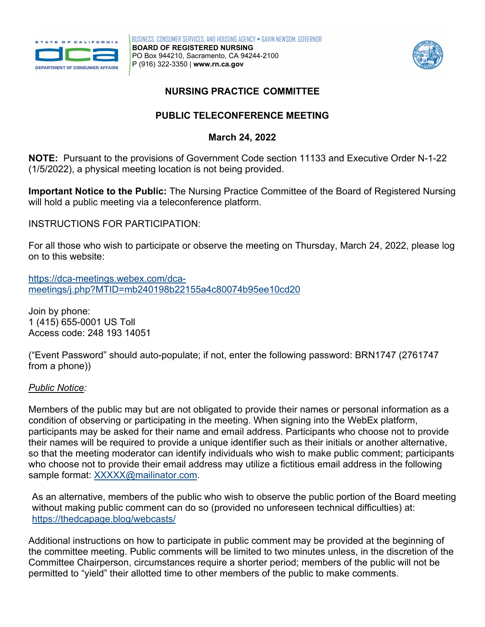



# *NURSING PRACTICE COMMITTEE*

# **PUBLIC TELECONFERENCE MEETING**

## **March 24, 2022**

 **NOTE:** Pursuant to the provisions of Government Code section 11133 and Executive Order N-1-22 (1/5/2022), a physical meeting location is not being provided.

**Important Notice to the Public:** The Nursing Practice Committee of the Board of Registered Nursing will hold a public meeting via a teleconference platform.

INSTRUCTIONS FOR PARTICIPATION:

For all those who wish to participate or observe the meeting on Thursday, March 24, 2022, please log on to this website:

[https://dca-meetings.webex.com/dca](https://dca-meetings.webex.com/dca-meetings/j.php?MTID=mb240198b22155a4c80074b95ee10cd20)[meetings/j.php?MTID=mb240198b22155a4c80074b95ee10cd20](https://dca-meetings.webex.com/dca-meetings/j.php?MTID=mb240198b22155a4c80074b95ee10cd20) 

Join by phone: 1 (415) 655-0001 US Toll Access code: 248 193 14051

("Event Password" should auto-populate; if not, enter the following password: BRN1747 (2761747 from a phone))

## *Public Notice:*

 their names will be required to provide a unique identifier such as their initials or another alternative, Members of the public may but are not obligated to provide their names or personal information as a condition of observing or participating in the meeting. When signing into the WebEx platform, participants may be asked for their name and email address. Participants who choose not to provide so that the meeting moderator can identify individuals who wish to make public comment; participants who choose not to provide their email address may utilize a fictitious email address in the following sample format: [XXXXX@mailinator.com.](mailto:XXXXX@mailinator.com)

As an alternative, members of the public who wish to observe the public portion of the Board meeting without making public comment can do so (provided no unforeseen technical difficulties) at: <https://thedcapage.blog/webcasts/>

Additional instructions on how to participate in public comment may be provided at the beginning of the committee meeting. Public comments will be limited to two minutes unless, in the discretion of the Committee Chairperson, circumstances require a shorter period; members of the public will not be permitted to "yield" their allotted time to other members of the public to make comments.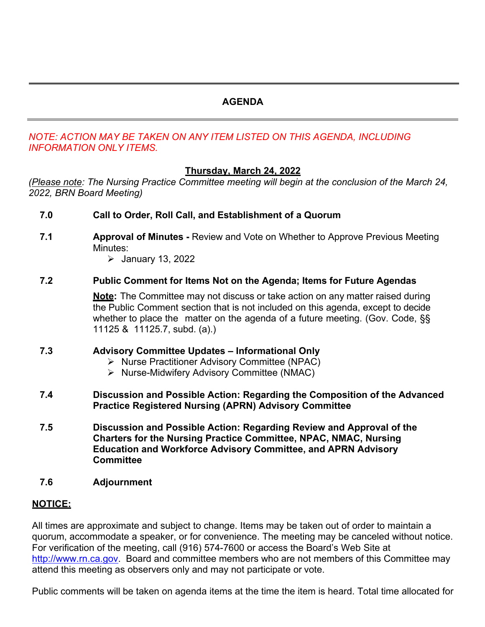# **AGENDA**

## *NOTE: ACTION MAY BE TAKEN ON ANY ITEM LISTED ON THIS AGENDA, INCLUDING INFORMATION ONLY ITEMS.*

## **Thursday, March 24, 2022**

*(Please note: The Nursing Practice Committee meeting will begin at the conclusion of the March 24, 2022, BRN Board Meeting)* 

- **7.0 Call to Order, Roll Call, and Establishment of a Quorum**
- **7.1 <b>Approval of Minutes** Review and Vote on Whether to Approve Previous Meeting Minutes:
	- $\blacktriangleright$  January 13, 2022

### **7.2 Public Comment for Items Not on the Agenda; Items for Future Agendas**

 **Note:** The Committee may not discuss or take action on any matter raised during the Public Comment section that is not included on this agenda, except to decide whether to place the matter on the agenda of a future meeting. (Gov. Code, §§ 11125 & 11125.7, subd. (a).)

### **7.3 Advisory Committee Updates – Informational Only**

- ▶ Nurse Practitioner Advisory Committee (NPAC)
- $\triangleright$  Nurse-Midwifery Advisory Committee (NMAC)

### **7.4 Discussion and Possible Action: Regarding the Composition of the Advanced Practice Registered Nursing (APRN) Advisory Committee**

- **7.5 Discussion and Possible Action: Regarding Review and Approval of the Charters for the Nursing Practice Committee, NPAC, NMAC, Nursing Education and Workforce Advisory Committee, and APRN Advisory Committee**
- **7.6 Adjournment**

### **NOTICE:**

 [http://www.rn.ca.gov.](http://www.rn.ca.gov/) Board and committee members who are not members of this Committee may attend this meeting as observers only and may not participate or vote. All times are approximate and subject to change. Items may be taken out of order to maintain a quorum, accommodate a speaker, or for convenience. The meeting may be canceled without notice. For verification of the meeting, call (916) 574-7600 or access the Board's Web Site at

Public comments will be taken on agenda items at the time the item is heard. Total time allocated for